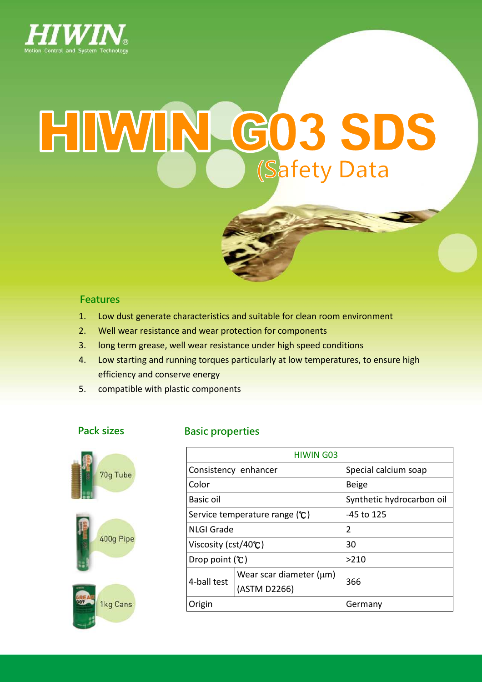

# HIWIN GO3 SDS **(Safety Data**

#### Features

- 1. Low dust generate characteristics and suitable for clean room environment
- 2. Well wear resistance and wear protection for components
- 3. long term grease, well wear resistance under high speed conditions
- 4. Low starting and running torques particularly at low temperatures, to ensure high efficiency and conserve energy
- 5. compatible with plastic components





#### Pack sizes **Basic properties**

| <b>HIWIN G03</b>                |                                              |                           |  |  |  |
|---------------------------------|----------------------------------------------|---------------------------|--|--|--|
| Consistency enhancer            |                                              | Special calcium soap      |  |  |  |
| Color                           |                                              | <b>Beige</b>              |  |  |  |
| Basic oil                       |                                              | Synthetic hydrocarbon oil |  |  |  |
| Service temperature range $(C)$ |                                              | -45 to 125                |  |  |  |
| <b>NLGI Grade</b>               |                                              | 2                         |  |  |  |
| Viscosity (cst/40 $\degree$ C)  |                                              | 30                        |  |  |  |
| Drop point $(\mathcal{C})$      |                                              | >210                      |  |  |  |
| 4-ball test                     | Wear scar diameter $(\mu m)$<br>(ASTM D2266) | 366                       |  |  |  |
| Origin                          |                                              | Germany                   |  |  |  |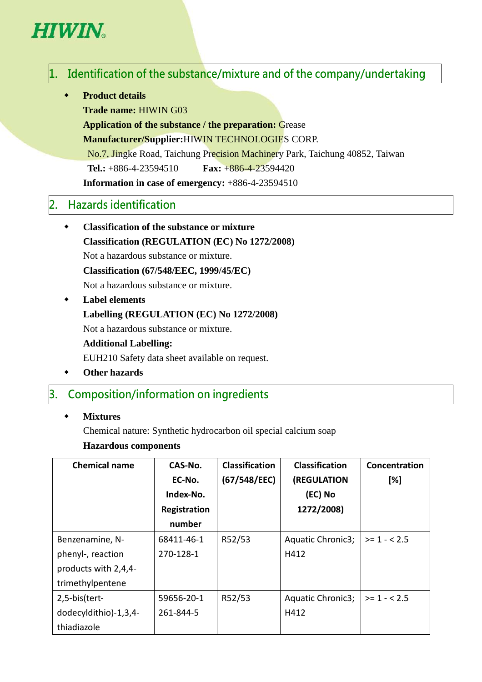# **HIWIN**

# $1.$  Identification of the substance/mixture and of the company/undertaking

**Product details** 

**Trade name:** HIWIN G03

**Application of the substance / the preparation:** Grease

**Manufacturer/Supplier:**HIWIN TECHNOLOGIES CORP.

No.7, Jingke Road, Taichung Precision Machinery Park, Taichung 40852, Taiwan

**Tel.:** +886-4-23594510 **Fax:** +886-4-23594420

**Information in case of emergency:** +886-4-23594510

# 2. Hazards identification

- **Classification of the substance or mixture Classification (REGULATION (EC) No 1272/2008)**  Not a hazardous substance or mixture. **Classification (67/548/EEC, 1999/45/EC)**  Not a hazardous substance or mixture.
- **Label elements Labelling (REGULATION (EC) No 1272/2008)**  Not a hazardous substance or mixture. **Additional Labelling:**  EUH210 Safety data sheet available on request.
- **Other hazards**

#### 3. Composition/information on ingredients

**Mixtures** 

Chemical nature: Synthetic hydrocarbon oil special calcium soap

#### **Hazardous components**

| <b>Chemical name</b>  | CAS-No.      | <b>Classification</b> | <b>Classification</b> | Concentration |
|-----------------------|--------------|-----------------------|-----------------------|---------------|
|                       | EC-No.       | (67/548/EEC)          | (REGULATION           | [%]           |
|                       | Index-No.    |                       | (EC) No               |               |
|                       | Registration |                       | 1272/2008)            |               |
|                       | number       |                       |                       |               |
| Benzenamine, N-       | 68411-46-1   | R52/53                | Aquatic Chronic3;     | $>= 1 - 2.5$  |
| phenyl-, reaction     | 270-128-1    |                       | H412                  |               |
| products with 2,4,4-  |              |                       |                       |               |
| trimethylpentene      |              |                       |                       |               |
| 2,5-bis(tert-         | 59656-20-1   | R52/53                | Aquatic Chronic3;     | $>1 - 2.5$    |
| dodecyldithio)-1,3,4- | 261-844-5    |                       | H412                  |               |
| thiadiazole           |              |                       |                       |               |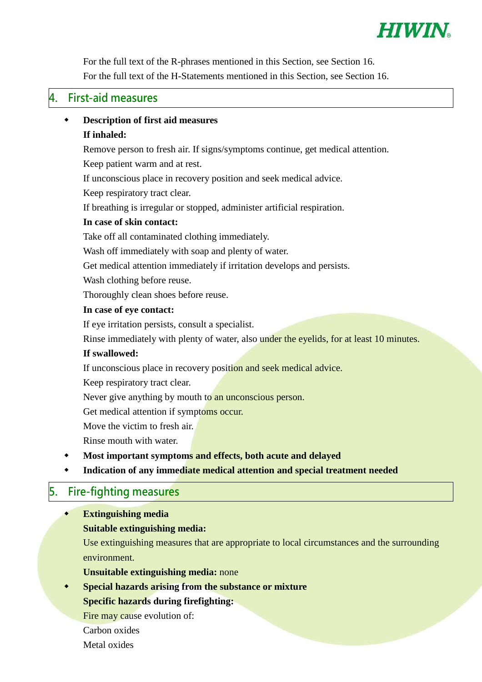

For the full text of the R-phrases mentioned in this Section, see Section 16. For the full text of the H-Statements mentioned in this Section, see Section 16.

#### 4. First-aid measures

# **Description of first aid measures**

#### **If inhaled:**

Remove person to fresh air. If signs/symptoms continue, get medical attention.

Keep patient warm and at rest.

If unconscious place in recovery position and seek medical advice.

Keep respiratory tract clear.

If breathing is irregular or stopped, administer artificial respiration.

#### **In case of skin contact:**

Take off all contaminated clothing immediately.

Wash off immediately with soap and plenty of water.

Get medical attention immediately if irritation develops and persists.

Wash clothing before reuse.

Thoroughly clean shoes before reuse.

#### **In case of eye contact:**

If eye irritation persists, consult a specialist.

Rinse immediately with plenty of water, also under the eyelids, for at least 10 minutes.

#### **If swallowed:**

If unconscious place in recovery position and seek medical advice.

Keep respiratory tract clear.

Never give anything by mouth to an unconscious person.

Get medical attention if symptoms occur.

Move the victim to fresh air.

Rinse mouth with water.

- **Most important symptoms and effects, both acute and delayed**
- **Indication of any immediate medical attention and special treatment needed**

#### 5. Fire-fighting measures

**Extinguishing media** 

#### **Suitable extinguishing media:**

Use extinguishing measures that are appropriate to local circumstances and the surrounding environment.

- **Unsuitable extinguishing media:** none
- **Special hazards arising from the substance or mixture**

#### **Specific hazards during firefighting:**

Fire may cause evolution of:

- Carbon oxides
- Metal oxides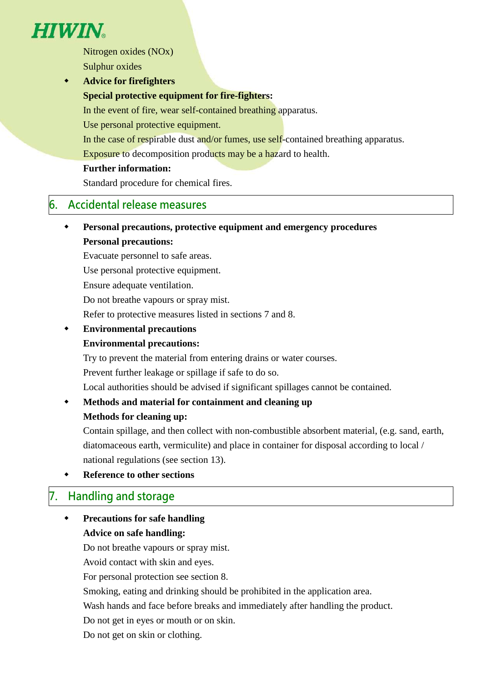

Nitrogen oxides (NOx) Sulphur oxides

 **Advice for firefighters Special protective equipment for fire-fighters:**  In the event of fire, wear self-contained breathing apparatus. Use personal protective equipment.

In the case of respirable dust and/or fumes, use self-contained breathing apparatus.

Exposure to decomposition products may be a hazard to health.

#### **Further information:**

Standard procedure for chemical fires.

#### 6. Accidental release measures

 **Personal precautions, protective equipment and emergency procedures Personal precautions:** 

Evacuate personnel to safe areas.

Use personal protective equipment.

Ensure adequate ventilation.

Do not breathe vapours or spray mist.

Refer to protective measures listed in sections 7 and 8.

 **Environmental precautions Environmental precautions:** 

Try to prevent the material from entering drains or water courses.

Prevent further leakage or spillage if safe to do so.

Local authorities should be advised if significant spillages cannot be contained.

# **Methods and material for containment and cleaning up**

#### **Methods for cleaning up:**

Contain spillage, and then collect with non-combustible absorbent material, (e.g. sand, earth, diatomaceous earth, vermiculite) and place in container for disposal according to local / national regulations (see section 13).

**Reference to other sections** 

#### 7. Handling and storage

 **Precautions for safe handling Advice on safe handling:** 

Do not breathe vapours or spray mist.

Avoid contact with skin and eyes.

For personal protection see section 8.

Smoking, eating and drinking should be prohibited in the application area.

Wash hands and face before breaks and immediately after handling the product.

Do not get in eyes or mouth or on skin.

Do not get on skin or clothing.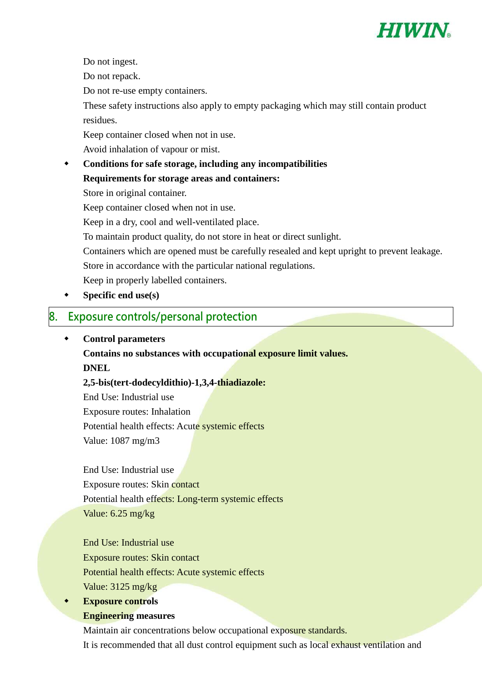

Do not ingest.

Do not repack.

Do not re-use empty containers.

These safety instructions also apply to empty packaging which may still contain product residues.

Keep container closed when not in use.

Avoid inhalation of vapour or mist.

 **Conditions for safe storage, including any incompatibilities Requirements for storage areas and containers:** Store in original container. Keep container closed when not in use. Keep in a dry, cool and well-ventilated place.

To maintain product quality, do not store in heat or direct sunlight.

Containers which are opened must be carefully resealed and kept upright to prevent leakage.

Store in accordance with the particular national regulations.

Keep in properly labelled containers.

**Specific end use(s)** 

#### 8. Exposure controls/personal protection

#### **Control parameters**

**Contains no substances with occupational exposure limit values. DNEL** 

**2,5-bis(tert-dodecyldithio)-1,3,4-thiadiazole:** 

End Use: Industrial use Exposure routes: Inhalation Potential health effects: Acute systemic effects Value: 1087 mg/m3

End Use: Industrial use Exposure routes: Skin contact Potential health effects: Long-term systemic effects Value: 6.25 mg/kg

End Use: Industrial use Exposure routes: Skin contact Potential health effects: Acute systemic effects Value: 3125 mg/kg

**Exposure controls** 

#### **Engineering measures**

Maintain air concentrations below occupational exposure standards.

It is recommended that all dust control equipment such as local exhaust ventilation and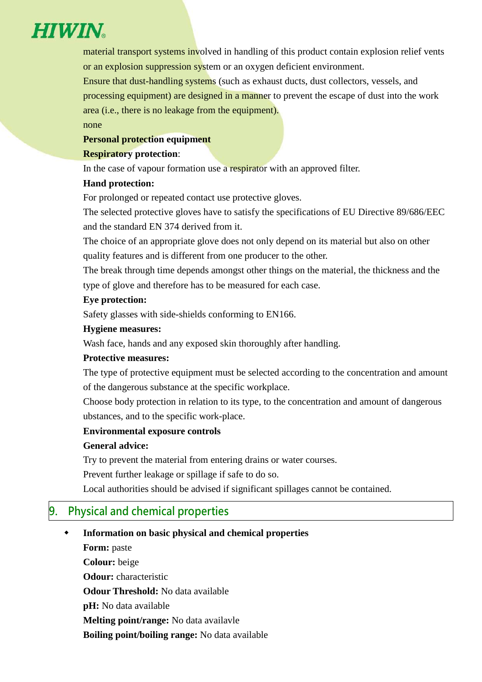

material transport systems involved in handling of this product contain explosion relief vents or an explosion suppression system or an oxygen deficient environment.

Ensure that dust-handling systems (such as exhaust ducts, dust collectors, vessels, and processing equipment) are designed in a manner to prevent the escape of dust into the work area (i.e., there is no leakage from the equipment).

#### none

#### **Personal protection equipment**

#### **Respiratory protection**:

In the case of vapour formation use a respirator with an approved filter.

#### **Hand protection:**

For prolonged or repeated contact use protective gloves.

The selected protective gloves have to satisfy the specifications of EU Directive 89/686/EEC and the standard EN 374 derived from it.

The choice of an appropriate glove does not only depend on its material but also on other quality features and is different from one producer to the other.

The break through time depends amongst other things on the material, the thickness and the type of glove and therefore has to be measured for each case.

#### **Eye protection:**

Safety glasses with side-shields conforming to EN166.

#### **Hygiene measures:**

Wash face, hands and any exposed skin thoroughly after handling.

#### **Protective measures:**

The type of protective equipment must be selected according to the concentration and amount of the dangerous substance at the specific workplace.

Choose body protection in relation to its type, to the concentration and amount of dangerous ubstances, and to the specific work-place.

#### **Environmental exposure controls**

#### **General advice:**

Try to prevent the material from entering drains or water courses.

Prevent further leakage or spillage if safe to do so.

Local authorities should be advised if significant spillages cannot be contained.

# 9. Physical and chemical properties

#### **Information on basic physical and chemical properties**

**Form:** paste **Colour:** beige **Odour:** characteristic **Odour Threshold:** No data available **pH:** No data available **Melting point/range:** No data availavle **Boiling point/boiling range:** No data available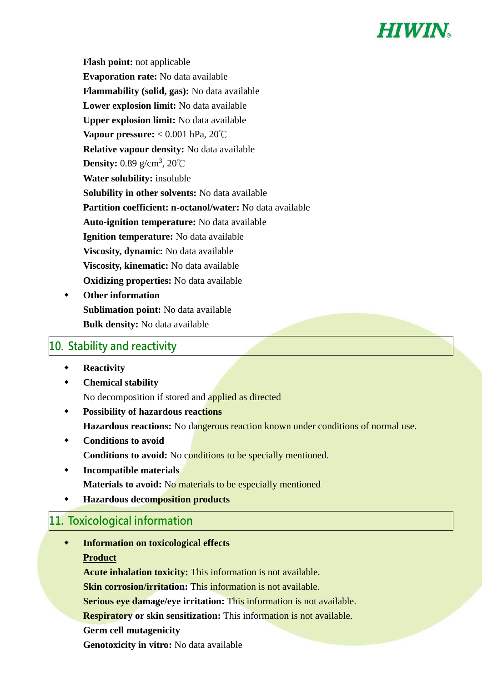

**Flash point:** not applicable **Evaporation rate:** No data available **Flammability (solid, gas):** No data available **Lower explosion limit:** No data available **Upper explosion limit:** No data available **Vapour pressure:** < 0.001 hPa, 20℃ **Relative vapour density:** No data available **Density:** 0.89 g/cm<sup>3</sup>, 20℃ **Water solubility:** insoluble **Solubility in other solvents:** No data available **Partition coefficient: n-octanol/water:** No data available **Auto-ignition temperature:** No data available **Ignition temperature:** No data available **Viscosity, dynamic:** No data available **Viscosity, kinematic:** No data available **Oxidizing properties:** No data available

 **Other information Sublimation point:** No data available **Bulk density:** No data available

## 10. Stability and reactivity

- **Reactivity**
- **Chemical stability**  No decomposition if stored and applied as directed
- **Possibility of hazardous reactions Hazardous reactions:** No dangerous reaction known under conditions of normal use.
- **Conditions to avoid Conditions to avoid:** No conditions to be specially mentioned.
- **Incompatible materials Materials to avoid:** No materials to be especially mentioned
- **Hazardous decomposition products**

# 11. Toxicological information

 **Information on toxicological effects Product** 

**Acute inhalation toxicity:** This information is not available.

**Skin corrosion/irritation:** This information is not available.

**Serious eye damage/eye irritation:** This information is not available.

**Respiratory or skin sensitization:** This information is not available.

**Germ cell mutagenicity** 

**Genotoxicity in vitro:** No data available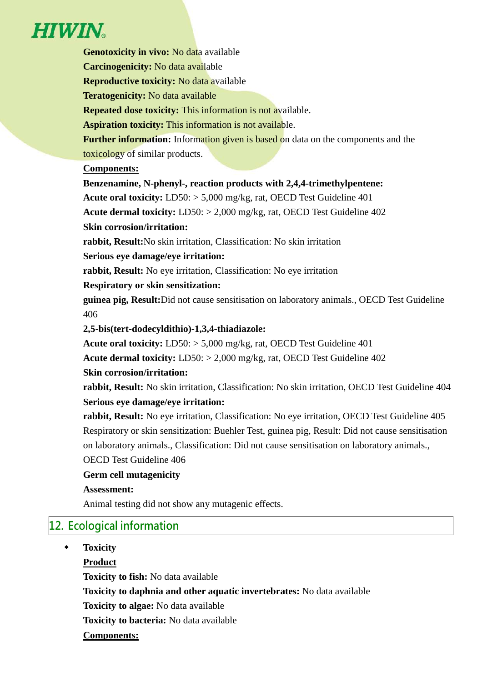# **HIWIN**

**Genotoxicity in vivo:** No data available **Carcinogenicity:** No data available **Reproductive toxicity:** No data available **Teratogenicity:** No data available **Repeated dose toxicity:** This information is not available. **Aspiration toxicity:** This information is not available. **Further information:** Information given is based on data on the components and the toxicology of similar products. **Components: Benzenamine, N-phenyl-, reaction products with 2,4,4-trimethylpentene: Acute oral toxicity:** LD50: > 5,000 mg/kg, rat, OECD Test Guideline 401 **Acute dermal toxicity:** LD50: > 2,000 mg/kg, rat, OECD Test Guideline 402 **Skin corrosion/irritation: rabbit, Result:**No skin irritation, Classification: No skin irritation **Serious eye damage/eye irritation: rabbit, Result:** No eye irritation, Classification: No eye irritation **Respiratory or skin sensitization: guinea pig, Result:**Did not cause sensitisation on laboratory animals., OECD Test Guideline 406 **2,5-bis(tert-dodecyldithio)-1,3,4-thiadiazole: Acute oral toxicity:** LD50: > 5,000 mg/kg, rat, OECD Test Guideline 401 **Acute dermal toxicity:** LD50: > 2,000 mg/kg, rat, OECD Test Guideline 402 **Skin corrosion/irritation: rabbit, Result:** No skin irritation, Classification: No skin irritation, OECD Test Guideline 404 **Serious eye damage/eye irritation: rabbit, Result:** No eye irritation, Classification: No eye irritation, OECD Test Guideline 405 Respiratory or skin sensitization: Buehler Test, guinea pig, Result: Did not cause sensitisation on laboratory animals., Classification: Did not cause sensitisation on laboratory animals., OECD Test Guideline 406 **Germ cell mutagenicity Assessment:** 

Animal testing did not show any mutagenic effects.

# 12. Ecological information

**Toxicity** 

**Product** 

**Toxicity to fish:** No data available

**Toxicity to daphnia and other aquatic invertebrates:** No data available

**Toxicity to algae:** No data available

**Toxicity to bacteria:** No data available

#### **Components:**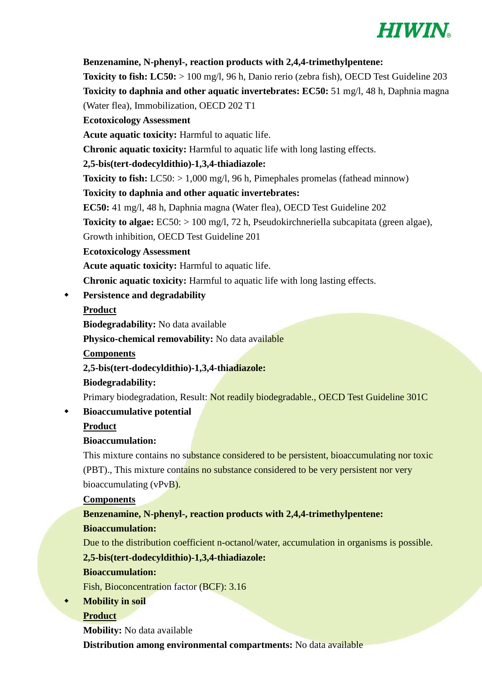

#### **Benzenamine, N-phenyl-, reaction products with 2,4,4-trimethylpentene:**

**Toxicity to fish: LC50:** > 100 mg/l, 96 h, Danio rerio (zebra fish), OECD Test Guideline 203 **Toxicity to daphnia and other aquatic invertebrates: EC50:** 51 mg/l, 48 h, Daphnia magna (Water flea), Immobilization, OECD 202 T1

**Ecotoxicology Assessment** 

**Acute aquatic toxicity:** Harmful to aquatic life.

**Chronic aquatic toxicity:** Harmful to aquatic life with long lasting effects.

#### **2,5-bis(tert-dodecyldithio)-1,3,4-thiadiazole:**

**Toxicity to fish:** LC50: > 1,000 mg/l, 96 h, Pimephales promelas (fathead minnow)

#### **Toxicity to daphnia and other aquatic invertebrates:**

**EC50:** 41 mg/l, 48 h, Daphnia magna (Water flea), OECD Test Guideline 202

**Toxicity to algae:** EC50: > 100 mg/l, 72 h, Pseudokirchneriella subcapitata (green algae),

Growth inhibition, OECD Test Guideline 201

#### **Ecotoxicology Assessment**

**Acute aquatic toxicity:** Harmful to aquatic life.

**Chronic aquatic toxicity:** Harmful to aquatic life with long lasting effects.

**Persistence and degradability** 

#### **Product**

**Biodegradability:** No data available

**Physico-chemical removability:** No data available

**Components** 

**2,5-bis(tert-dodecyldithio)-1,3,4-thiadiazole:** 

#### **Biodegradability:**

Primary biodegradation, Result: Not readily biodegradable., OECD Test Guideline 301C

#### **Bioaccumulative potential**

**Product** 

#### **Bioaccumulation:**

This mixture contains no substance considered to be persistent, bioaccumulating nor toxic (PBT)., This mixture contains no substance considered to be very persistent nor very bioaccumulating (vPvB).

#### **Components**

#### **Benzenamine, N-phenyl-, reaction products with 2,4,4-trimethylpentene: Bioaccumulation:**

Due to the distribution coefficient n-octanol/water, accumulation in organisms is possible.

#### **2,5-bis(tert-dodecyldithio)-1,3,4-thiadiazole:**

#### **Bioaccumulation:**

Fish, Bioconcentration factor (BCF): 3.16

#### **Mobility in soil**

#### **Product**

**Mobility:** No data available

**Distribution among environmental compartments:** No data available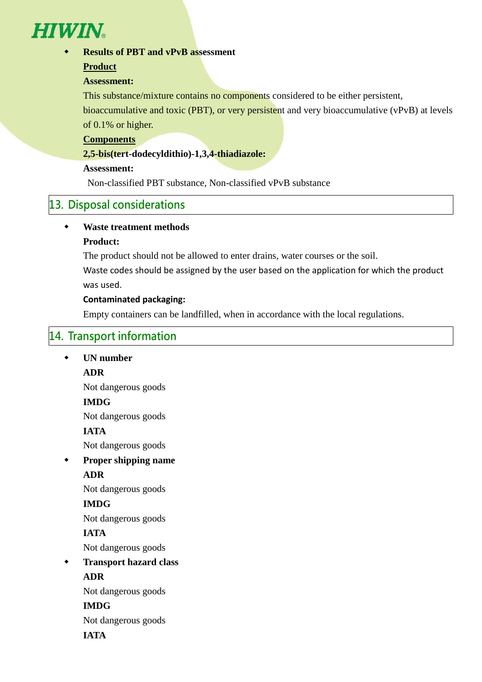

**Results of PBT and vPvB assessment** 

#### **Product**

#### **Assessment:**

This substance/mixture contains no components considered to be either persistent,

bioaccumulative and toxic (PBT), or very persistent and very bioaccumulative (vPvB) at levels of 0.1% or higher.

#### **Components**

#### **2,5-bis(tert-dodecyldithio)-1,3,4-thiadiazole:**

#### **Assessment:**

Non-classified PBT substance, Non-classified vPvB substance

#### 13. Disposal considerations

#### **Waste treatment methods**

#### **Product:**

The product should not be allowed to enter drains, water courses or the soil.

Waste codes should be assigned by the user based on the application for which the product was used.

#### **Contaminated packaging:**

Empty containers can be landfilled, when in accordance with the local regulations.

# 14. Transport information

## **UN number ADR**  Not dangerous goods

#### **IMDG**

Not dangerous goods

#### **IATA**

Not dangerous goods

**Proper shipping name** 

#### **ADR**

Not dangerous goods

#### **IMDG**

Not dangerous goods

#### **IATA**

Not dangerous goods

 **Transport hazard class ADR** 

Not dangerous goods

#### **IMDG**

Not dangerous goods

**IATA**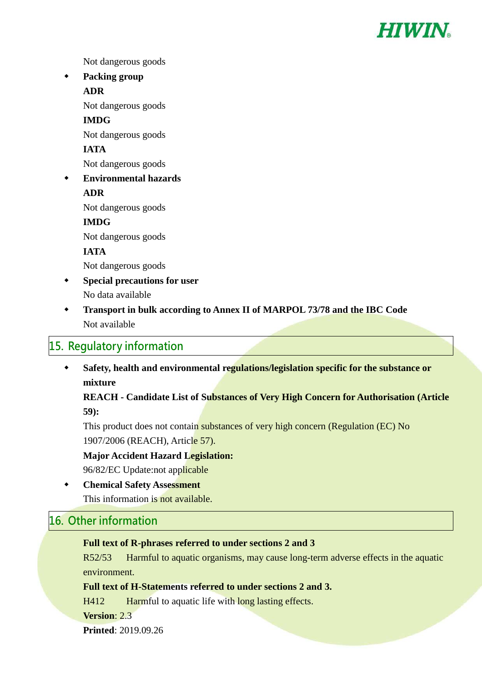

Not dangerous goods

 **Packing group ADR** 

Not dangerous goods

**IMDG** 

Not dangerous goods

**IATA** 

Not dangerous goods

 **Environmental hazards ADR** 

Not dangerous goods

#### **IMDG**

Not dangerous goods

**IATA** 

Not dangerous goods

- **Special precautions for user**  No data available
- **Transport in bulk according to Annex II of MARPOL 73/78 and the IBC Code**  Not available

#### 15. Regulatory information

 **Safety, health and environmental regulations/legislation specific for the substance or mixture** 

**REACH - Candidate List of Substances of Very High Concern for Authorisation (Article 59):** 

This product does not contain substances of very high concern (Regulation (EC) No 1907/2006 (REACH), Article 57).

**Major Accident Hazard Legislation:** 

96/82/EC Update:not applicable

 **Chemical Safety Assessment**  This information is not available.

#### 16. Other information

#### **Full text of R-phrases referred to under sections 2 and 3**

R52/53 Harmful to aquatic organisms, may cause long-term adverse effects in the aquatic environment.

#### **Full text of H-Statements referred to under sections 2 and 3.**

H412 Harmful to aquatic life with long lasting effects.

**Version**: 2.3

**Printed**: 2019.09.26